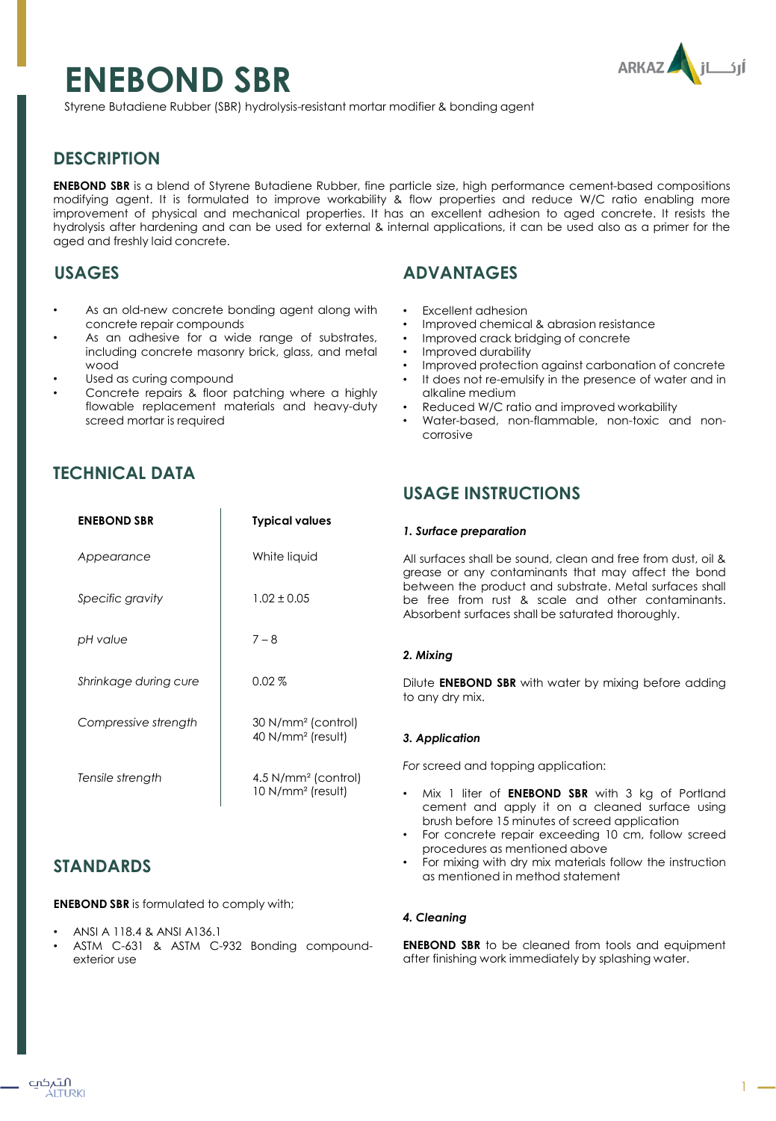# **ENEBOND SBR**



Styrene Butadiene Rubber (SBR) hydrolysis-resistant mortar modifier & bonding agent

## **DESCRIPTION**

**ENEBOND SBR** is a blend of Styrene Butadiene Rubber, fine particle size, high performance cement-based compositions modifying agent. It is formulated to improve workability & flow properties and reduce W/C ratio enabling more improvement of physical and mechanical properties. It has an excellent adhesion to aged concrete. It resists the hydrolysis after hardening and can be used for external & internal applications, it can be used also as a primer for the aged and freshly laid concrete.

## **USAGES**

- As an old-new concrete bonding agent along with concrete repair compounds
- As an adhesive for a wide range of substrates, including concrete masonry brick, glass, and metal wood
- Used as curing compound
- Concrete repairs & floor patching where a highly flowable replacement materials and heavy-duty screed mortar is required

# **TECHNICAL DATA**

| <b>ENEBOND SBR</b>    | <b>Typical values</b>                                    |
|-----------------------|----------------------------------------------------------|
| Appearance            | White liquid                                             |
| Specific gravity      | $1.02 \pm 0.05$                                          |
| pH value              | $7 - 8$                                                  |
| Shrinkage during cure | $0.02\%$                                                 |
| Compressive strength  | 30 N/mm <sup>2</sup> (control)<br>40 $N/mm^2$ (result)   |
| Tensile strength      | $4.5$ N/mm <sup>2</sup> (control)<br>$10 N/mm2$ (result) |

## **STANDARDS**

**ENEBOND SBR** is formulated to comply with;

- ANSI A 118.4 & ANSI A136.1
- ASTM C-631 & ASTM C-932 Bonding compoundexterior use

# **ADVANTAGES**

- Excellent adhesion
- Improved chemical & abrasion resistance
- Improved crack bridging of concrete
- Improved durability
- Improved protection against carbonation of concrete
- It does not re-emulsify in the presence of water and in alkaline medium
- Reduced W/C ratio and improved workability
- Water-based, non-flammable, non-toxic and noncorrosive

## **USAGE INSTRUCTIONS**

#### *1. Surface preparation*

All surfaces shall be sound, clean and free from dust, oil & grease or any contaminants that may affect the bond between the product and substrate. Metal surfaces shall be free from rust & scale and other contaminants. Absorbent surfaces shall be saturated thoroughly.

## *2. Mixing*

Dilute **ENEBOND SBR** with water by mixing before adding to any dry mix.

## *3. Application*

*For* screed and topping application:

- Mix 1 liter of **ENEBOND SBR** with 3 kg of Portland cement and apply it on a cleaned surface using brush before 15 minutes of screed application
- For concrete repair exceeding 10 cm, follow screed procedures as mentioned above
- For mixing with dry mix materials follow the instruction as mentioned in method statement

## *4. Cleaning*

**ENEBOND SBR** to be cleaned from tools and equipment after finishing work immediately by splashing water.